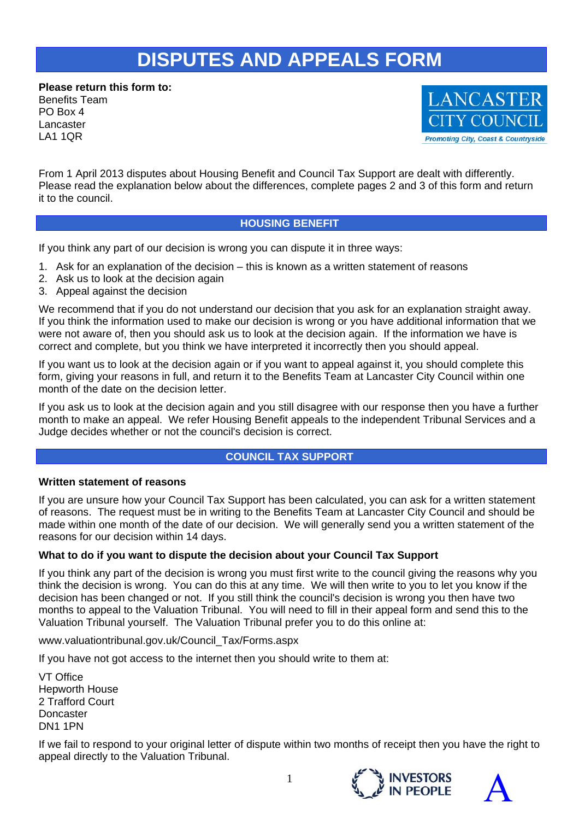# **DISPUTES AND APPEALS FORM**

**Please return this form to:**  Benefits Team PO Box 4 Lancaster LA1 1QR



From 1 April 2013 disputes about Housing Benefit and Council Tax Support are dealt with differently. Please read the explanation below about the differences, complete pages 2 and 3 of this form and return it to the council.

### **HOUSING BENEFIT**

If you think any part of our decision is wrong you can dispute it in three ways:

- 1. Ask for an explanation of the decision this is known as a written statement of reasons
- 2. Ask us to look at the decision again
- 3. Appeal against the decision

We recommend that if you do not understand our decision that you ask for an explanation straight away. If you think the information used to make our decision is wrong or you have additional information that we were not aware of, then you should ask us to look at the decision again. If the information we have is correct and complete, but you think we have interpreted it incorrectly then you should appeal.

If you want us to look at the decision again or if you want to appeal against it, you should complete this form, giving your reasons in full, and return it to the Benefits Team at Lancaster City Council within one month of the date on the decision letter.

If you ask us to look at the decision again and you still disagree with our response then you have a further month to make an appeal. We refer Housing Benefit appeals to the independent Tribunal Services and a Judge decides whether or not the council's decision is correct.

# **COUNCIL TAX SUPPORT**

#### **Written statement of reasons**

If you are unsure how your Council Tax Support has been calculated, you can ask for a written statement of reasons. The request must be in writing to the Benefits Team at Lancaster City Council and should be made within one month of the date of our decision. We will generally send you a written statement of the reasons for our decision within 14 days.

#### **What to do if you want to dispute the decision about your Council Tax Support**

If you think any part of the decision is wrong you must first write to the council giving the reasons why you think the decision is wrong. You can do this at any time. We will then write to you to let you know if the decision has been changed or not. If you still think the council's decision is wrong you then have two months to appeal to the Valuation Tribunal. You will need to fill in their appeal form and send this to the Valuation Tribunal yourself. The Valuation Tribunal prefer you to do this online at:

www.valuationtribunal.gov.uk/Council\_Tax/Forms.aspx

If you have not got access to the internet then you should write to them at:

VT Office Hepworth House 2 Trafford Court **Doncaster** DN1 1PN

If we fail to respond to your original letter of dispute within two months of receipt then you have the right to appeal directly to the Valuation Tribunal.



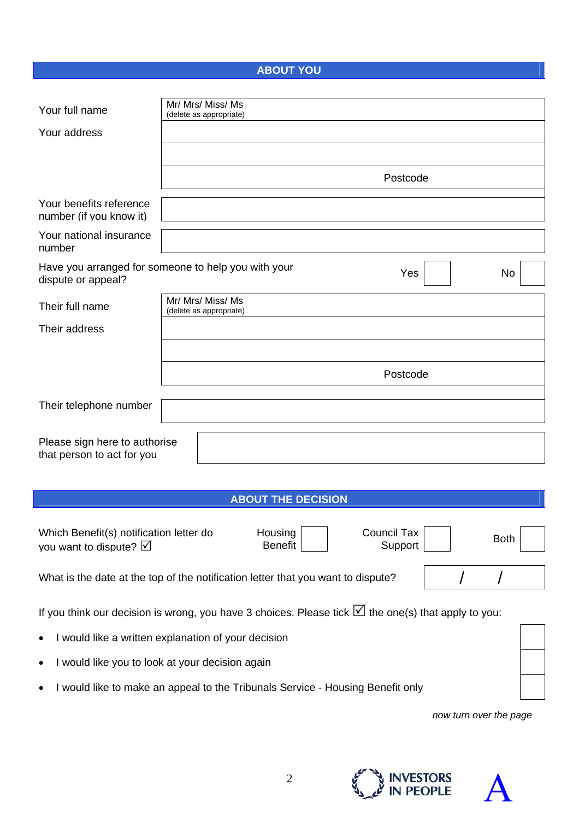# **ABOUT YOU**

| Your full name                                                                                                                                           | Mr/ Mrs/ Miss/ Ms<br>(delete as appropriate) |  |  |  |
|----------------------------------------------------------------------------------------------------------------------------------------------------------|----------------------------------------------|--|--|--|
| Your address                                                                                                                                             |                                              |  |  |  |
|                                                                                                                                                          |                                              |  |  |  |
|                                                                                                                                                          | Postcode                                     |  |  |  |
| Your benefits reference<br>number (if you know it)                                                                                                       |                                              |  |  |  |
| Your national insurance<br>number                                                                                                                        |                                              |  |  |  |
| Have you arranged for someone to help you with your<br>Yes<br>No<br>dispute or appeal?                                                                   |                                              |  |  |  |
| Their full name                                                                                                                                          | Mr/ Mrs/ Miss/ Ms<br>(delete as appropriate) |  |  |  |
| Their address                                                                                                                                            |                                              |  |  |  |
|                                                                                                                                                          |                                              |  |  |  |
|                                                                                                                                                          | Postcode                                     |  |  |  |
| Their telephone number                                                                                                                                   |                                              |  |  |  |
|                                                                                                                                                          |                                              |  |  |  |
| Please sign here to authorise<br>that person to act for you                                                                                              |                                              |  |  |  |
|                                                                                                                                                          |                                              |  |  |  |
|                                                                                                                                                          | <b>ABOUT THE DECISION</b>                    |  |  |  |
| Housing<br><b>Council Tax</b><br>Which Benefit(s) notification letter do<br><b>Both</b><br><b>Benefit</b><br>Support<br>you want to dispute? $\boxtimes$ |                                              |  |  |  |
| What is the date at the top of the notification letter that you want to dispute?                                                                         |                                              |  |  |  |
| If you think our decision is wrong, you have 3 choices. Please tick $\Box$ the one(s) that apply to you:                                                 |                                              |  |  |  |
| I would like a written explanation of your decision                                                                                                      |                                              |  |  |  |
| I would like you to look at your decision again                                                                                                          |                                              |  |  |  |
| I would like to make an appeal to the Tribunals Service - Housing Benefit only                                                                           |                                              |  |  |  |
| now turn over the page                                                                                                                                   |                                              |  |  |  |
|                                                                                                                                                          |                                              |  |  |  |



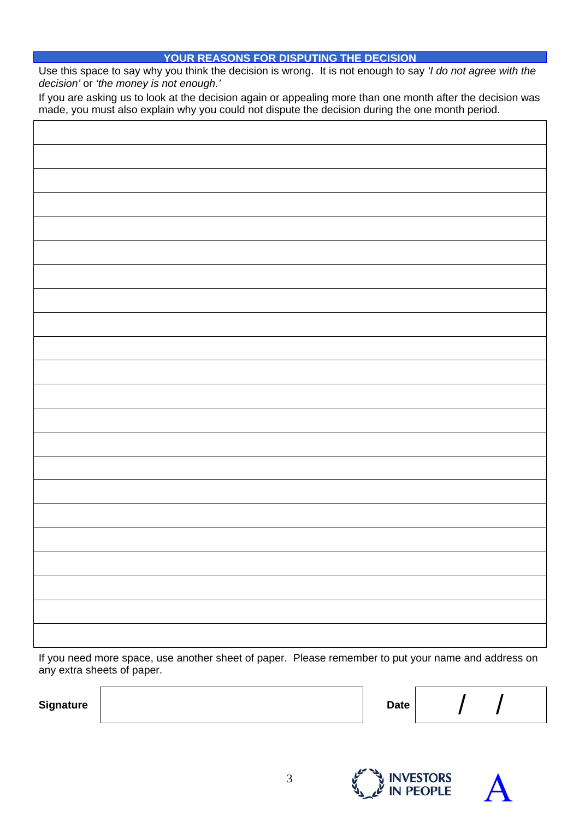#### **YOUR REASONS FOR DISPUTING THE DECISION**

Use this space to say why you think the decision is wrong. It is not enough to say *'I do not agree with the decision'* or *'the money is not enough.'* 

If you are asking us to look at the decision again or appealing more than one month after the decision was made, you must also explain why you could not dispute the decision during the one month period.

If you need more space, use another sheet of paper. Please remember to put your name and address on any extra sheets of paper.

Signature **A** *D*ate */ / /*